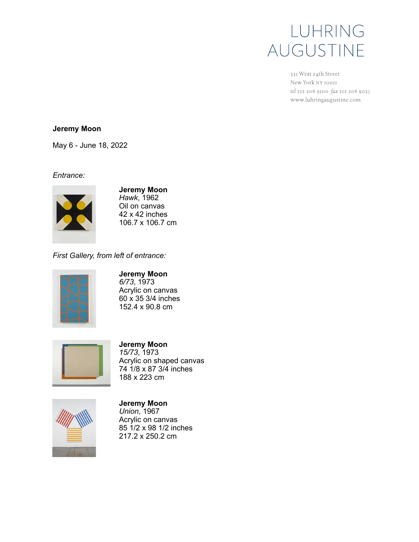# LUHRING AUGUSTINE

531 West 24th Street New York NY 10011 tel 212 206 9100 fax 212 206 9055 www.luhringaugustine.com

### **Jeremy Moon**

May 6 - June 18, 2022

*Entrance:*



**Jeremy Moon** *Hawk*, 1962 Oil on canvas 42 x 42 inches 106.7 x 106.7 cm

*First Gallery, from left of entrance:*



### **Jeremy Moon**

*6/73*, 1973 Acrylic on canvas 60 x 35 3/4 inches 152.4 x 90.8 cm



## **Jeremy Moon** *15/73*, 1973

Acrylic on shaped canvas 74 1/8 x 87 3/4 inches 188 x 223 cm



**Jeremy Moon** *Union*, 1967 Acrylic on canvas 85 1/2 x 98 1/2 inches 217.2 x 250.2 cm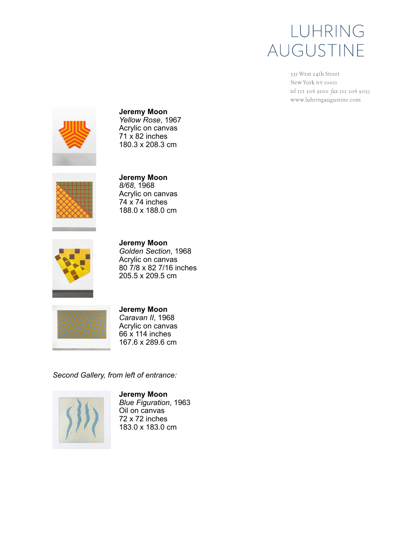# LUHRING AUGUSTINE

531 West 24th Street New York NY 10011 tel 212 206 9100 fax 212 206 9055 www.luhringaugustine.com



**Jeremy Moon** *Yellow Rose*, 1967 Acrylic on canvas  $71 \times 82$  inches 180.3 x 208.3 cm



**Jeremy Moon** *8/68*, 1968 Acrylic on canvas  $74 \times 74$  inches 188.0 x 188.0 cm



**Jeremy Moon** *Golden Section*, 1968 Acrylic on canvas 80 7/8 x 82 7/16 inches 205.5 x 209.5 cm



**Jeremy Moon** *Caravan II*, 1968 Acrylic on canvas 66 x 114 inches 167.6 x 289.6 cm

*Second Gallery, from left of entrance:*



**Jeremy Moon** *Blue Figuration*, 1963 Oil on canvas 72 x 72 inches 183.0 x 183.0 cm